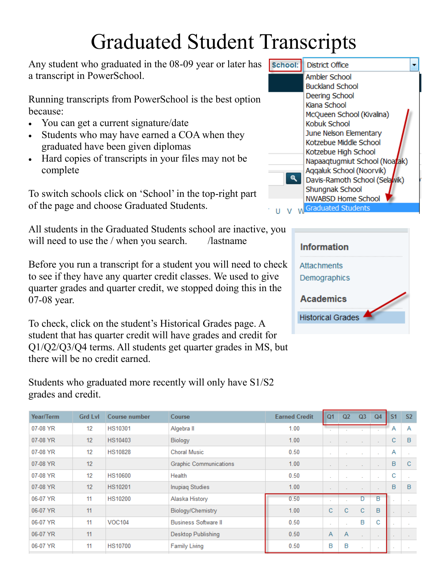## Graduated Student Transcripts

Any student who graduated in the 08-09 year or later has a transcript in PowerSchool.

Running transcripts from PowerSchool is the best option because:

- You can get a current signature/date
- Students who may have earned a COA when they graduated have been given diplomas
- Hard copies of transcripts in your files may not be complete

To switch schools click on 'School' in the top-right part of the page and choose Graduated Students.

All students in the Graduated Students school are inactive, you will need to use the / when you search. /lastname

Before you run a transcript for a student you will need to check to see if they have any quarter credit classes. We used to give quarter grades and quarter credit, we stopped doing this in the 07-08 year.

To check, click on the student's Historical Grades page. A student that has quarter credit will have grades and credit for Q1/Q2/Q3/Q4 terms. All students get quarter grades in MS, but there will be no credit earned.

Students who graduated more recently will only have S1/S2

grades and credit.

Year/Term **Grd LvI Earned Credit**  $Q<sub>1</sub>$  $Q<sub>2</sub>$  $Q<sub>3</sub>$  $Q<sub>4</sub>$  $S<sub>2</sub>$ Course number Course  $S<sub>1</sub>$ 07-08 YR  $12$ **HS10301** 1.00 Algebra II A Α 07-08 YR  $12$ HS10403  $\mathbf{C}$ B 1.00 Biology  $12$ **HS10828** 0.50 07-08 YR **Choral Music** ù. ÷. t, A 07-08 YR  $12$ **Graphic Communications** 1.00  $\mathsf B$ Ċ l, à, 07-08 YR  $12$ **HS10600** Health 0.50  $\mathbf C$ J. Ù, ÷. J. ÷.  $12$ B B 07-08 YR **HS10201 Inupiaq Studies**  $1.00$ 06-07 YR  $11$ **HS10200** Alaska History 0.50 D B ú. ä, à. 06-07 YR  $11$ Biology/Chemistry 1.00  $\mathbf C$  $\mathbf C$  $\mathbf C$ B  $\omega_{\rm{eff}}$ 06-07 YR **VOC104 Business Software II** 0.50 Ċ 11 B ÷. ÷. 06-07 YR  $11$ Desktop Publishing  $0.50$  $\overline{A}$  $\overline{A}$  $\mathcal{L}^{\pm}$ ù. 06-07 YR  $11$ **HS10700 Family Living**  $0.50$ B B ù.